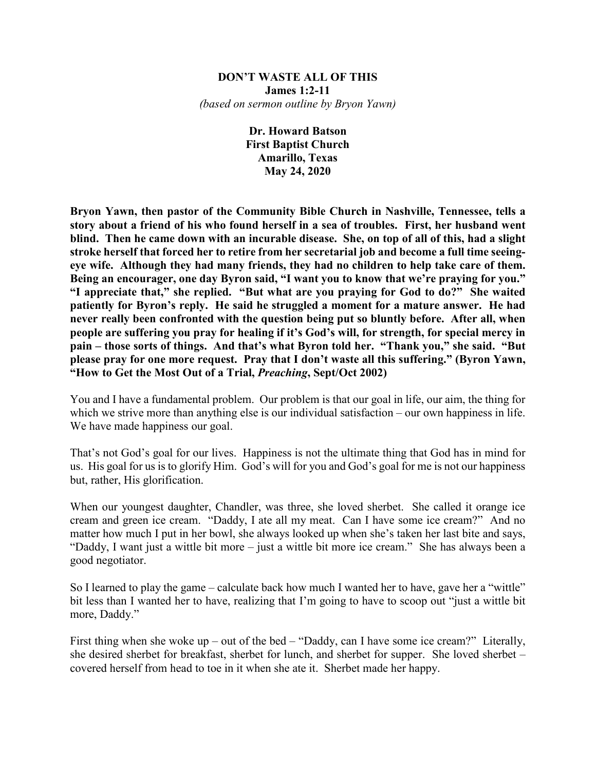#### **DON'T WASTE ALL OF THIS James 1:2-11** *(based on sermon outline by Bryon Yawn)*

**Dr. Howard Batson First Baptist Church Amarillo, Texas May 24, 2020**

**Bryon Yawn, then pastor of the Community Bible Church in Nashville, Tennessee, tells a story about a friend of his who found herself in a sea of troubles. First, her husband went blind. Then he came down with an incurable disease. She, on top of all of this, had a slight stroke herself that forced her to retire from her secretarial job and become a full time seeingeye wife. Although they had many friends, they had no children to help take care of them. Being an encourager, one day Byron said, "I want you to know that we're praying for you." "I appreciate that," she replied. "But what are you praying for God to do?" She waited patiently for Byron's reply. He said he struggled a moment for a mature answer. He had never really been confronted with the question being put so bluntly before. After all, when people are suffering you pray for healing if it's God's will, for strength, for special mercy in pain – those sorts of things. And that's what Byron told her. "Thank you," she said. "But please pray for one more request. Pray that I don't waste all this suffering." (Byron Yawn, "How to Get the Most Out of a Trial,** *Preaching***, Sept/Oct 2002)**

You and I have a fundamental problem. Our problem is that our goal in life, our aim, the thing for which we strive more than anything else is our individual satisfaction – our own happiness in life. We have made happiness our goal.

That's not God's goal for our lives. Happiness is not the ultimate thing that God has in mind for us. His goal for us is to glorify Him. God's will for you and God's goal for me is not our happiness but, rather, His glorification.

When our youngest daughter, Chandler, was three, she loved sherbet. She called it orange ice cream and green ice cream. "Daddy, I ate all my meat. Can I have some ice cream?" And no matter how much I put in her bowl, she always looked up when she's taken her last bite and says, "Daddy, I want just a wittle bit more – just a wittle bit more ice cream." She has always been a good negotiator.

So I learned to play the game – calculate back how much I wanted her to have, gave her a "wittle" bit less than I wanted her to have, realizing that I'm going to have to scoop out "just a wittle bit more, Daddy."

First thing when she woke up – out of the bed – "Daddy, can I have some ice cream?" Literally, she desired sherbet for breakfast, sherbet for lunch, and sherbet for supper. She loved sherbet – covered herself from head to toe in it when she ate it. Sherbet made her happy.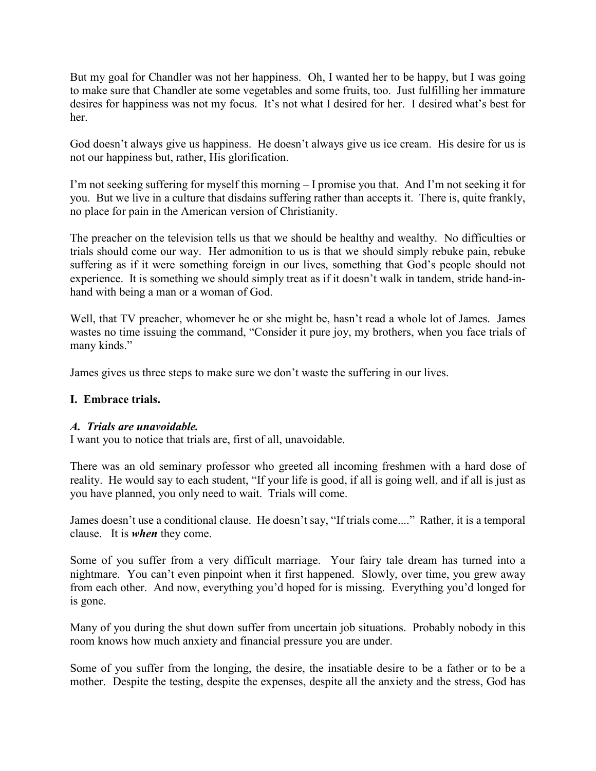But my goal for Chandler was not her happiness. Oh, I wanted her to be happy, but I was going to make sure that Chandler ate some vegetables and some fruits, too. Just fulfilling her immature desires for happiness was not my focus. It's not what I desired for her. I desired what's best for her.

God doesn't always give us happiness. He doesn't always give us ice cream. His desire for us is not our happiness but, rather, His glorification.

I'm not seeking suffering for myself this morning – I promise you that. And I'm not seeking it for you. But we live in a culture that disdains suffering rather than accepts it. There is, quite frankly, no place for pain in the American version of Christianity.

The preacher on the television tells us that we should be healthy and wealthy. No difficulties or trials should come our way. Her admonition to us is that we should simply rebuke pain, rebuke suffering as if it were something foreign in our lives, something that God's people should not experience. It is something we should simply treat as if it doesn't walk in tandem, stride hand-inhand with being a man or a woman of God.

Well, that TV preacher, whomever he or she might be, hasn't read a whole lot of James. James wastes no time issuing the command, "Consider it pure joy, my brothers, when you face trials of many kinds."

James gives us three steps to make sure we don't waste the suffering in our lives.

# **I. Embrace trials.**

### *A. Trials are unavoidable.*

I want you to notice that trials are, first of all, unavoidable.

There was an old seminary professor who greeted all incoming freshmen with a hard dose of reality. He would say to each student, "If your life is good, if all is going well, and if all is just as you have planned, you only need to wait. Trials will come.

James doesn't use a conditional clause. He doesn't say, "If trials come...." Rather, it is a temporal clause. It is *when* they come.

Some of you suffer from a very difficult marriage. Your fairy tale dream has turned into a nightmare. You can't even pinpoint when it first happened. Slowly, over time, you grew away from each other. And now, everything you'd hoped for is missing. Everything you'd longed for is gone.

Many of you during the shut down suffer from uncertain job situations. Probably nobody in this room knows how much anxiety and financial pressure you are under.

Some of you suffer from the longing, the desire, the insatiable desire to be a father or to be a mother. Despite the testing, despite the expenses, despite all the anxiety and the stress, God has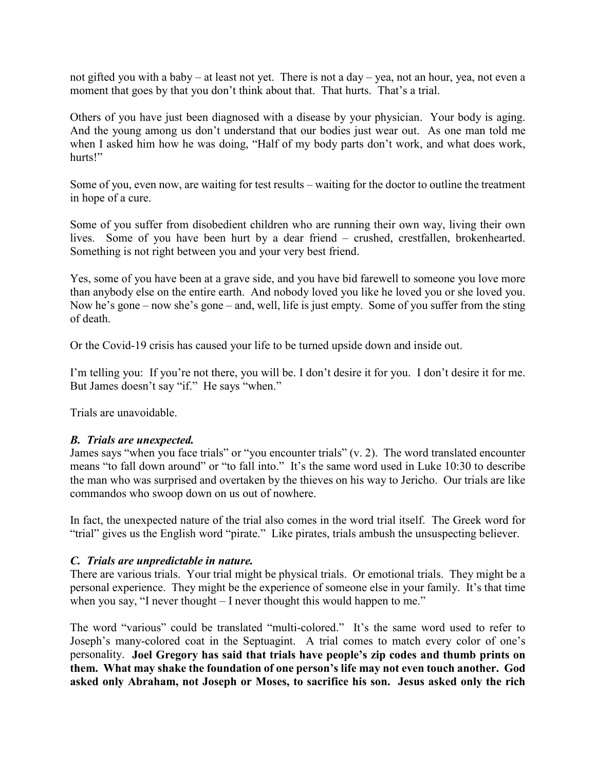not gifted you with a baby – at least not yet. There is not a day – yea, not an hour, yea, not even a moment that goes by that you don't think about that. That hurts. That's a trial.

Others of you have just been diagnosed with a disease by your physician. Your body is aging. And the young among us don't understand that our bodies just wear out. As one man told me when I asked him how he was doing, "Half of my body parts don't work, and what does work, hurts!"

Some of you, even now, are waiting for test results – waiting for the doctor to outline the treatment in hope of a cure.

Some of you suffer from disobedient children who are running their own way, living their own lives. Some of you have been hurt by a dear friend – crushed, crestfallen, brokenhearted. Something is not right between you and your very best friend.

Yes, some of you have been at a grave side, and you have bid farewell to someone you love more than anybody else on the entire earth. And nobody loved you like he loved you or she loved you. Now he's gone – now she's gone – and, well, life is just empty. Some of you suffer from the sting of death.

Or the Covid-19 crisis has caused your life to be turned upside down and inside out.

I'm telling you: If you're not there, you will be. I don't desire it for you. I don't desire it for me. But James doesn't say "if." He says "when."

Trials are unavoidable.

### *B. Trials are unexpected.*

James says "when you face trials" or "you encounter trials" (v. 2). The word translated encounter means "to fall down around" or "to fall into." It's the same word used in Luke 10:30 to describe the man who was surprised and overtaken by the thieves on his way to Jericho. Our trials are like commandos who swoop down on us out of nowhere.

In fact, the unexpected nature of the trial also comes in the word trial itself. The Greek word for "trial" gives us the English word "pirate." Like pirates, trials ambush the unsuspecting believer.

### *C. Trials are unpredictable in nature.*

There are various trials. Your trial might be physical trials. Or emotional trials. They might be a personal experience. They might be the experience of someone else in your family. It's that time when you say, "I never thought – I never thought this would happen to me."

The word "various" could be translated "multi-colored." It's the same word used to refer to Joseph's many-colored coat in the Septuagint. A trial comes to match every color of one's personality. **Joel Gregory has said that trials have people's zip codes and thumb prints on them. What may shake the foundation of one person's life may not even touch another. God asked only Abraham, not Joseph or Moses, to sacrifice his son. Jesus asked only the rich**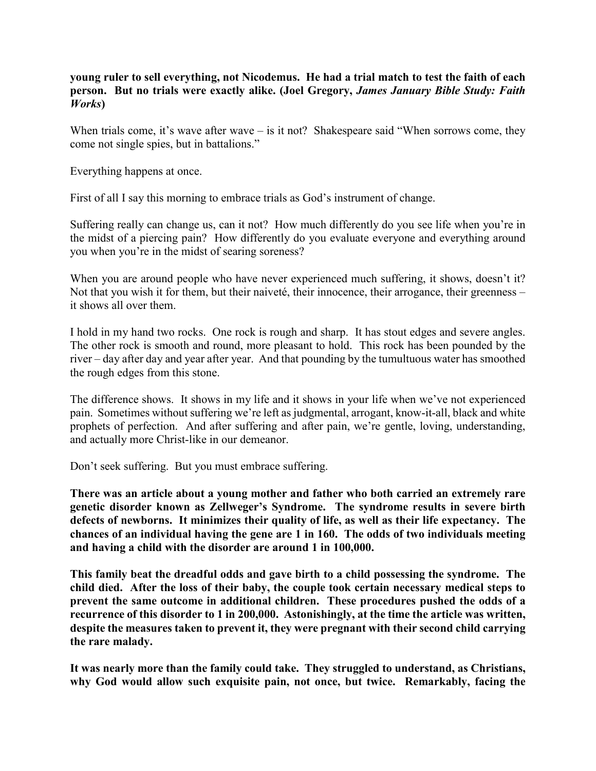## **young ruler to sell everything, not Nicodemus. He had a trial match to test the faith of each person. But no trials were exactly alike. (Joel Gregory,** *James January Bible Study: Faith Works***)**

When trials come, it's wave after wave – is it not? Shakespeare said "When sorrows come, they come not single spies, but in battalions."

Everything happens at once.

First of all I say this morning to embrace trials as God's instrument of change.

Suffering really can change us, can it not? How much differently do you see life when you're in the midst of a piercing pain? How differently do you evaluate everyone and everything around you when you're in the midst of searing soreness?

When you are around people who have never experienced much suffering, it shows, doesn't it? Not that you wish it for them, but their naiveté, their innocence, their arrogance, their greenness – it shows all over them.

I hold in my hand two rocks. One rock is rough and sharp. It has stout edges and severe angles. The other rock is smooth and round, more pleasant to hold. This rock has been pounded by the river – day after day and year after year. And that pounding by the tumultuous water has smoothed the rough edges from this stone.

The difference shows. It shows in my life and it shows in your life when we've not experienced pain. Sometimes without suffering we're left as judgmental, arrogant, know-it-all, black and white prophets of perfection. And after suffering and after pain, we're gentle, loving, understanding, and actually more Christ-like in our demeanor.

Don't seek suffering. But you must embrace suffering.

**There was an article about a young mother and father who both carried an extremely rare genetic disorder known as Zellweger's Syndrome. The syndrome results in severe birth defects of newborns. It minimizes their quality of life, as well as their life expectancy. The chances of an individual having the gene are 1 in 160. The odds of two individuals meeting and having a child with the disorder are around 1 in 100,000.**

**This family beat the dreadful odds and gave birth to a child possessing the syndrome. The child died. After the loss of their baby, the couple took certain necessary medical steps to prevent the same outcome in additional children. These procedures pushed the odds of a recurrence of this disorder to 1 in 200,000. Astonishingly, at the time the article was written, despite the measures taken to prevent it, they were pregnant with their second child carrying the rare malady.**

**It was nearly more than the family could take. They struggled to understand, as Christians, why God would allow such exquisite pain, not once, but twice. Remarkably, facing the**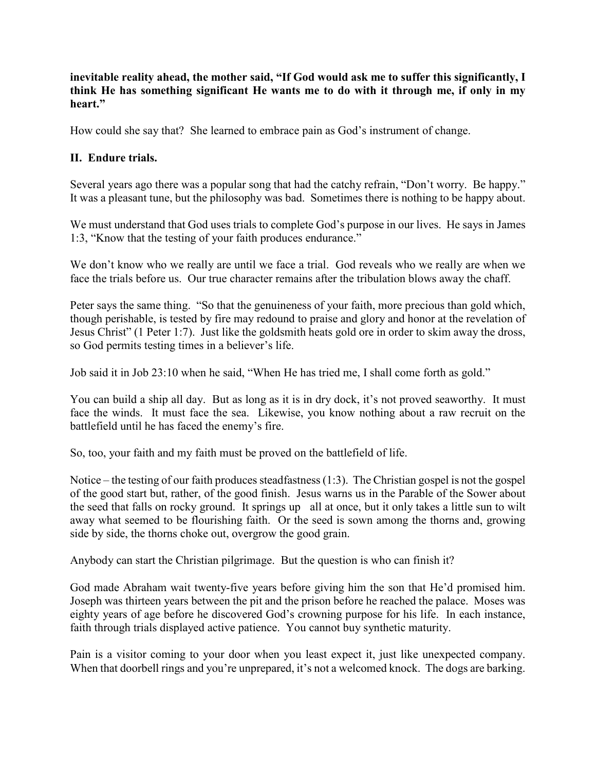**inevitable reality ahead, the mother said, "If God would ask me to suffer this significantly, I think He has something significant He wants me to do with it through me, if only in my heart."** 

How could she say that? She learned to embrace pain as God's instrument of change.

# **II. Endure trials.**

Several years ago there was a popular song that had the catchy refrain, "Don't worry. Be happy." It was a pleasant tune, but the philosophy was bad. Sometimes there is nothing to be happy about.

We must understand that God uses trials to complete God's purpose in our lives. He says in James 1:3, "Know that the testing of your faith produces endurance."

We don't know who we really are until we face a trial. God reveals who we really are when we face the trials before us. Our true character remains after the tribulation blows away the chaff.

Peter says the same thing. "So that the genuineness of your faith, more precious than gold which, though perishable, is tested by fire may redound to praise and glory and honor at the revelation of Jesus Christ" (1 Peter 1:7). Just like the goldsmith heats gold ore in order to skim away the dross, so God permits testing times in a believer's life.

Job said it in Job 23:10 when he said, "When He has tried me, I shall come forth as gold."

You can build a ship all day. But as long as it is in dry dock, it's not proved seaworthy. It must face the winds. It must face the sea. Likewise, you know nothing about a raw recruit on the battlefield until he has faced the enemy's fire.

So, too, your faith and my faith must be proved on the battlefield of life.

Notice – the testing of our faith produces steadfastness (1:3). The Christian gospel is not the gospel of the good start but, rather, of the good finish. Jesus warns us in the Parable of the Sower about the seed that falls on rocky ground. It springs up all at once, but it only takes a little sun to wilt away what seemed to be flourishing faith. Or the seed is sown among the thorns and, growing side by side, the thorns choke out, overgrow the good grain.

Anybody can start the Christian pilgrimage. But the question is who can finish it?

God made Abraham wait twenty-five years before giving him the son that He'd promised him. Joseph was thirteen years between the pit and the prison before he reached the palace. Moses was eighty years of age before he discovered God's crowning purpose for his life. In each instance, faith through trials displayed active patience. You cannot buy synthetic maturity.

Pain is a visitor coming to your door when you least expect it, just like unexpected company. When that doorbell rings and you're unprepared, it's not a welcomed knock. The dogs are barking.